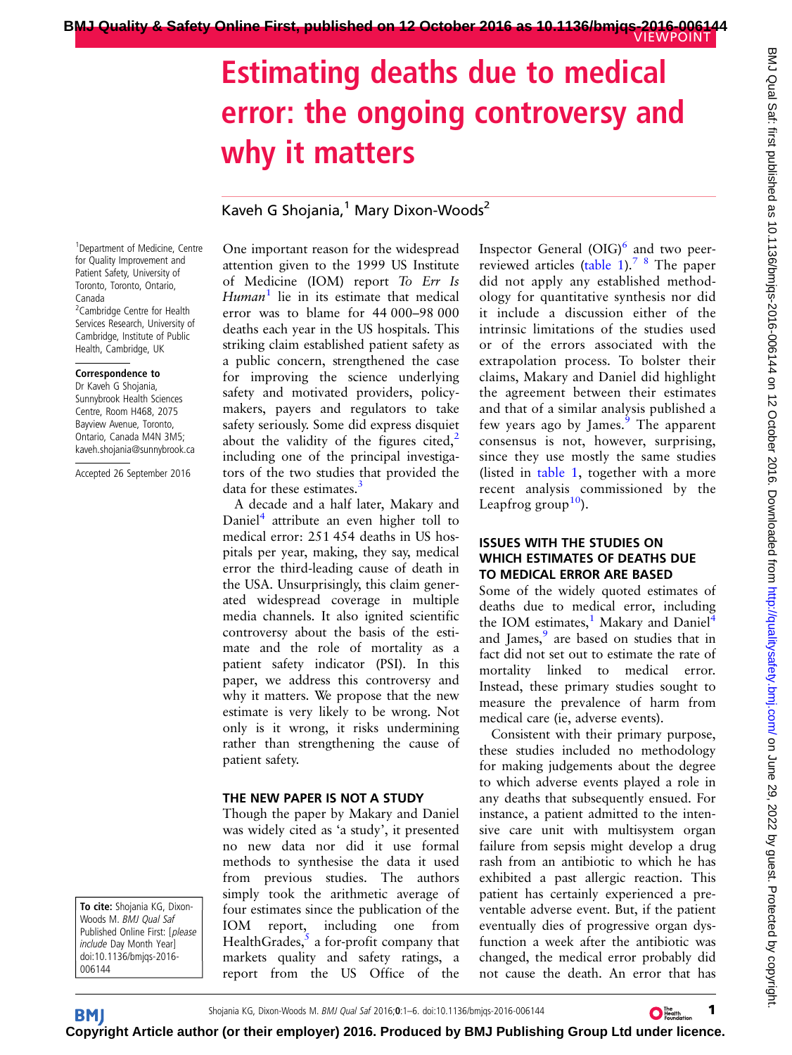# Estimating deaths due to medical error: the ongoing controversy and why it matters

# Kaveh G Shojania,<sup>1</sup> Mary Dixon-Woods<sup>2</sup>

<sup>1</sup> Department of Medicine, Centre for Quality Improvement and Patient Safety, University of Toronto, Toronto, Ontario, Canada <sup>2</sup> Cambridge Centre for Health Services Research, University of Cambridge, Institute of Public Health, Cambridge, UK

#### Correspondence to

Dr Kaveh G Shojania, Sunnybrook Health Sciences Centre, Room H468, 2075 Bayview Avenue, Toronto, Ontario, Canada M4N 3M5; kaveh.shojania@sunnybrook.ca

Accepted 26 September 2016

One important reason for the widespread attention given to the 1999 US Institute of Medicine (IOM) report To Err Is  $Human<sup>1</sup>$  $Human<sup>1</sup>$  $Human<sup>1</sup>$  lie in its estimate that medical error was to blame for 44 000–98 000 deaths each year in the US hospitals. This striking claim established patient safety as a public concern, strengthened the case for improving the science underlying safety and motivated providers, policymakers, payers and regulators to take safety seriously. Some did express disquiet about the validity of the figures cited, $2$ including one of the principal investigators of the two studies that provided the data for these estimates.<sup>[3](#page-4-0)</sup>

A decade and a half later, Makary and Daniel<sup>[4](#page-4-0)</sup> attribute an even higher toll to medical error: 251 454 deaths in US hospitals per year, making, they say, medical error the third-leading cause of death in the USA. Unsurprisingly, this claim generated widespread coverage in multiple media channels. It also ignited scientific controversy about the basis of the estimate and the role of mortality as a patient safety indicator (PSI). In this paper, we address this controversy and why it matters. We propose that the new estimate is very likely to be wrong. Not only is it wrong, it risks undermining rather than strengthening the cause of patient safety.

#### THE NEW PAPER IS NOT A STUDY

Though the paper by Makary and Daniel was widely cited as 'a study', it presented no new data nor did it use formal methods to synthesise the data it used from previous studies. The authors simply took the arithmetic average of four estimates since the publication of the IOM report, including one from HealthGrades, $5$  a for-profit company that markets quality and safety ratings, a report from the US Office of the

Inspector General  $(OIG)^6$  $(OIG)^6$  and two peerreviewed articles ([table 1\)](#page-1-0).<sup>7</sup>  $\frac{8}{3}$  The paper did not apply any established methodology for quantitative synthesis nor did it include a discussion either of the intrinsic limitations of the studies used or of the errors associated with the extrapolation process. To bolster their claims, Makary and Daniel did highlight the agreement between their estimates and that of a similar analysis published a few years ago by James. $\frac{9}{2}$  $\frac{9}{2}$  $\frac{9}{2}$  The apparent consensus is not, however, surprising, since they use mostly the same studies (listed in [table 1](#page-1-0), together with a more recent analysis commissioned by the Leapfrog group<sup>10</sup>).

## ISSUES WITH THE STUDIES ON WHICH ESTIMATES OF DEATHS DUE TO MEDICAL ERROR ARE BASED

Some of the widely quoted estimates of deaths due to medical error, including the IOM estimates, $<sup>1</sup>$  $<sup>1</sup>$  $<sup>1</sup>$  Makary and Daniel<sup>[4](#page-4-0)</sup></sup> and James, $9$  are based on studies that in fact did not set out to estimate the rate of mortality linked to medical error. Instead, these primary studies sought to measure the prevalence of harm from medical care (ie, adverse events).

Consistent with their primary purpose, these studies included no methodology for making judgements about the degree to which adverse events played a role in any deaths that subsequently ensued. For instance, a patient admitted to the intensive care unit with multisystem organ failure from sepsis might develop a drug rash from an antibiotic to which he has exhibited a past allergic reaction. This patient has certainly experienced a preventable adverse event. But, if the patient eventually dies of progressive organ dysfunction a week after the antibiotic was changed, the medical error probably did not cause the death. An error that has

To cite: Shojania KG, Dixon-Woods M. BMJ Qual Saf Published Online First: [please include Day Month Year] doi:10.1136/bmjqs-2016- 006144

**BMI** 

**C[opyr](http://qualitysafety.bmj.com/)ight Article author (or their employer) 2016. Produced by BMJ Publishing Group Ltd under licence.**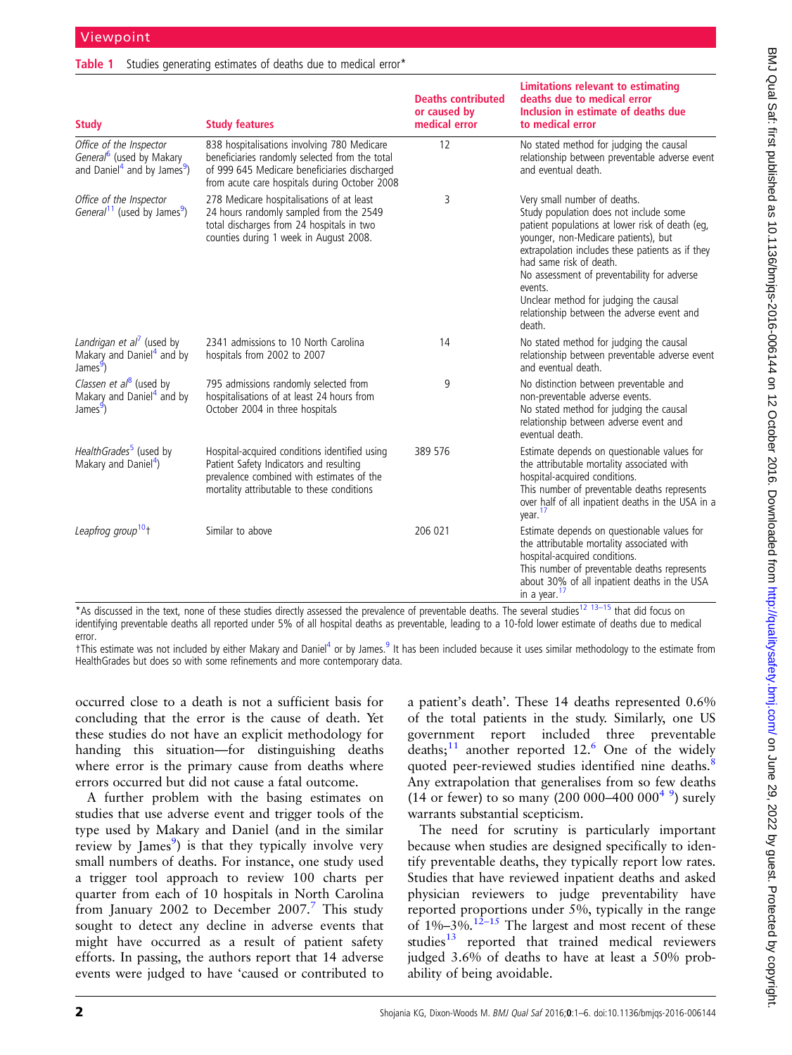#### <span id="page-1-0"></span>Table 1 Studies generating estimates of deaths due to medical error\*

| <b>Study</b>                                                                                                           | <b>Study features</b>                                                                                                                                                                          | <b>Deaths contributed</b><br>or caused by<br>medical error | Limitations relevant to estimating<br>deaths due to medical error<br>Inclusion in estimate of deaths due<br>to medical error                                                                                                                                                                                                                                                                                |
|------------------------------------------------------------------------------------------------------------------------|------------------------------------------------------------------------------------------------------------------------------------------------------------------------------------------------|------------------------------------------------------------|-------------------------------------------------------------------------------------------------------------------------------------------------------------------------------------------------------------------------------------------------------------------------------------------------------------------------------------------------------------------------------------------------------------|
| Office of the Inspector<br>General <sup>6</sup> (used by Makary<br>and Daniel <sup>4</sup> and by James <sup>9</sup> ) | 838 hospitalisations involving 780 Medicare<br>beneficiaries randomly selected from the total<br>of 999 645 Medicare beneficiaries discharged<br>from acute care hospitals during October 2008 | 12                                                         | No stated method for judging the causal<br>relationship between preventable adverse event<br>and eventual death.                                                                                                                                                                                                                                                                                            |
| Office of the Inspector<br>General <sup>11</sup> (used by James <sup>9</sup> )                                         | 278 Medicare hospitalisations of at least<br>24 hours randomly sampled from the 2549<br>total discharges from 24 hospitals in two<br>counties during 1 week in August 2008.                    | 3                                                          | Very small number of deaths.<br>Study population does not include some<br>patient populations at lower risk of death (eq,<br>younger, non-Medicare patients), but<br>extrapolation includes these patients as if they<br>had same risk of death.<br>No assessment of preventability for adverse<br>events.<br>Unclear method for judging the causal<br>relationship between the adverse event and<br>death. |
| Landrigan et al <sup>7</sup> (used by<br>Makary and Daniel <sup>4</sup> and by<br>James <sup>9</sup> )                 | 2341 admissions to 10 North Carolina<br>hospitals from 2002 to 2007                                                                                                                            | 14                                                         | No stated method for judging the causal<br>relationship between preventable adverse event<br>and eventual death.                                                                                                                                                                                                                                                                                            |
| Classen et $a^{8}$ (used by<br>Makary and Daniel <sup>4</sup> and by<br>James <sup>9</sup> )                           | 795 admissions randomly selected from<br>hospitalisations of at least 24 hours from<br>October 2004 in three hospitals                                                                         | 9                                                          | No distinction between preventable and<br>non-preventable adverse events.<br>No stated method for judging the causal<br>relationship between adverse event and<br>eventual death.                                                                                                                                                                                                                           |
| HealthGrades <sup>5</sup> (used by<br>Makary and Daniel <sup>4</sup> )                                                 | Hospital-acquired conditions identified using<br>Patient Safety Indicators and resulting<br>prevalence combined with estimates of the<br>mortality attributable to these conditions            | 389 576                                                    | Estimate depends on questionable values for<br>the attributable mortality associated with<br>hospital-acquired conditions.<br>This number of preventable deaths represents<br>over half of all inpatient deaths in the USA in a<br>year. <sup>17</sup>                                                                                                                                                      |
| Leapfrog group <sup>10</sup> t                                                                                         | Similar to above                                                                                                                                                                               | 206 021                                                    | Estimate depends on questionable values for<br>the attributable mortality associated with<br>hospital-acquired conditions.<br>This number of preventable deaths represents<br>about 30% of all inpatient deaths in the USA<br>in a year. $17$                                                                                                                                                               |

\*As discussed in the text, none of these studies directly assessed the prevalence of preventable deaths. The several studies<sup>12</sup> <sup>13–15</sup> that did focus on identifying preventable deaths all reported under 5% of all hospital deaths as preventable, leading to a 10-fold lower estimate of deaths due to medical error.

†This estimate was not included by either Makary and Daniel<sup>[4](#page-4-0)</sup> or by James.<sup>[9](#page-4-0)</sup> It has been included because it uses similar methodology to the estimate from HealthGrades but does so with some refinements and more contemporary data.

occurred close to a death is not a sufficient basis for concluding that the error is the cause of death. Yet these studies do not have an explicit methodology for handing this situation—for distinguishing deaths where error is the primary cause from deaths where errors occurred but did not cause a fatal outcome.

A further problem with the basing estimates on studies that use adverse event and trigger tools of the type used by Makary and Daniel (and in the similar review by James<sup>[9](#page-4-0)</sup>) is that they typically involve very small numbers of deaths. For instance, one study used a trigger tool approach to review 100 charts per quarter from each of 10 hospitals in North Carolina from January 2002 to December 200[7](#page-4-0). This study sought to detect any decline in adverse events that might have occurred as a result of patient safety efforts. In passing, the authors report that 14 adverse events were judged to have 'caused or contributed to

a patient's death'. These 14 deaths represented 0.6% of the total patients in the study. Similarly, one US government report included three preventable deaths;<sup>[11](#page-4-0)</sup> another reported  $12<sup>6</sup>$  $12<sup>6</sup>$  $12<sup>6</sup>$  One of the widely quoted peer-reviewed studies identified nine deaths.<sup>[8](#page-4-0)</sup> Any extrapolation that generalises from so few deaths (14 or fewer) to so many (200 000–400 000<sup>[4 9](#page-4-0)</sup>) surely warrants substantial scepticism.

The need for scrutiny is particularly important because when studies are designed specifically to identify preventable deaths, they typically report low rates. Studies that have reviewed inpatient deaths and asked physician reviewers to judge preventability have reported proportions under 5%, typically in the range of  $1\% - 3\%$ .<sup>[12](#page-4-0)–15</sup> The largest and most recent of these studies $13$  reported that trained medical reviewers judged 3.6% of deaths to have at least a 50% probability of being avoidable.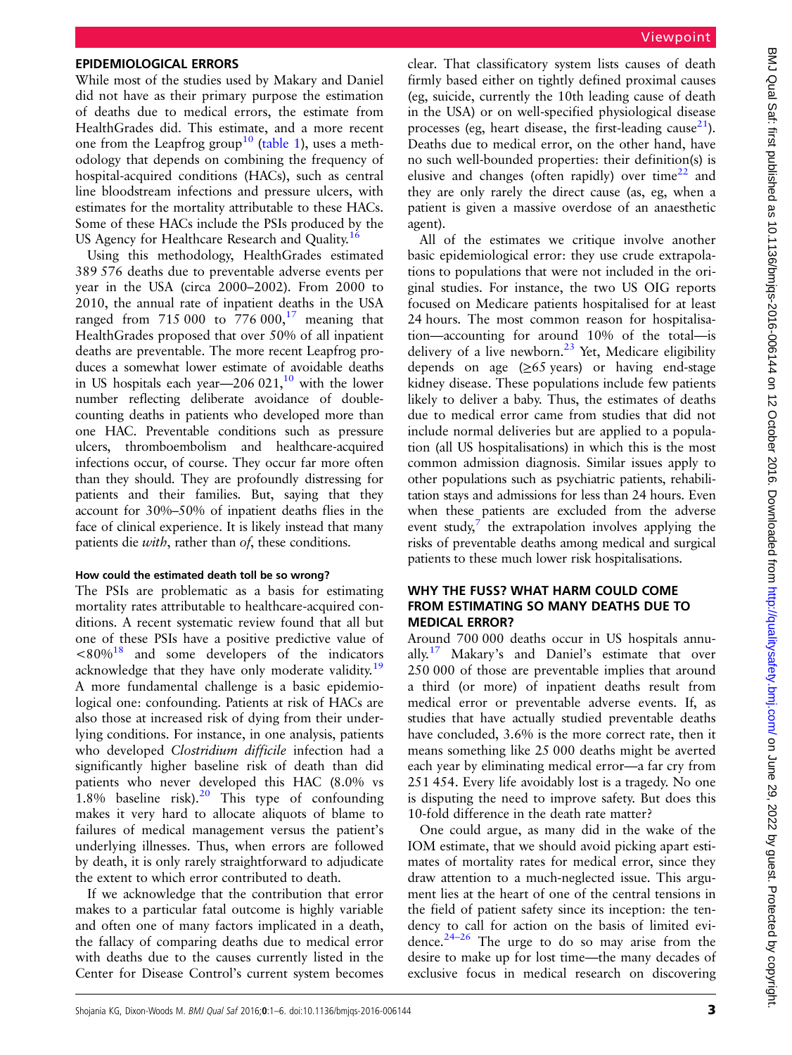BMJ Qual Saf: first published as 10.1136/bmjqs-2016-006144 on 12 October 2016. Downloaded from http://qualitysafety.bmj.com/ on June 29, 2022 by guest. Protected by copyright. BMJ Qual Sat: first published as 10.1136/bmjqs-2016-006144 on 12 October 2016. Downloaded from bu publishety.bmj.com/ on June 29, 2022 by guest. Protected by copyright.

Viewpoint

## EPIDEMIOLOGICAL ERRORS

While most of the studies used by Makary and Daniel did not have as their primary purpose the estimation of deaths due to medical errors, the estimate from HealthGrades did. This estimate, and a more recent one from the Leapfrog group<sup>[10](#page-4-0)</sup> [\(table 1](#page-1-0)), uses a methodology that depends on combining the frequency of hospital-acquired conditions (HACs), such as central line bloodstream infections and pressure ulcers, with estimates for the mortality attributable to these HACs. Some of these HACs include the PSIs produced by the US Agency for Healthcare Research and Quality.<sup>[16](#page-4-0)</sup>

Using this methodology, HealthGrades estimated 389 576 deaths due to preventable adverse events per year in the USA (circa 2000–2002). From 2000 to 2010, the annual rate of inpatient deaths in the USA ranged from 715 000 to 776 000,<sup>[17](#page-4-0)</sup> meaning that HealthGrades proposed that over 50% of all inpatient deaths are preventable. The more recent Leapfrog produces a somewhat lower estimate of avoidable deaths in US hospitals each year—206 021, $^{10}$  with the lower number reflecting deliberate avoidance of doublecounting deaths in patients who developed more than one HAC. Preventable conditions such as pressure ulcers, thromboembolism and healthcare-acquired infections occur, of course. They occur far more often than they should. They are profoundly distressing for patients and their families. But, saying that they account for 30%–50% of inpatient deaths flies in the face of clinical experience. It is likely instead that many patients die with, rather than of, these conditions.

## How could the estimated death toll be so wrong?

The PSIs are problematic as a basis for estimating mortality rates attributable to healthcare-acquired conditions. A recent systematic review found that all but one of these PSIs have a positive predictive value of  $\leq 80\%$ <sup>[18](#page-4-0)</sup> and some developers of the indicators acknowledge that they have only moderate validity.<sup>[19](#page-4-0)</sup> A more fundamental challenge is a basic epidemiological one: confounding. Patients at risk of HACs are also those at increased risk of dying from their underlying conditions. For instance, in one analysis, patients who developed Clostridium difficile infection had a significantly higher baseline risk of death than did patients who never developed this HAC (8.0% vs 1.8% baseline risk). $20$  This type of confounding makes it very hard to allocate aliquots of blame to failures of medical management versus the patient's underlying illnesses. Thus, when errors are followed by death, it is only rarely straightforward to adjudicate the extent to which error contributed to death.

If we acknowledge that the contribution that error makes to a particular fatal outcome is highly variable and often one of many factors implicated in a death, the fallacy of comparing deaths due to medical error with deaths due to the causes currently listed in the Center for Disease Control's current system becomes

clear. That classificatory system lists causes of death firmly based either on tightly defined proximal causes (eg, suicide, currently the 10th leading cause of death in the USA) or on well-specified physiological disease processes (eg, heart disease, the first-leading cause<sup>21</sup>). Deaths due to medical error, on the other hand, have no such well-bounded properties: their definition(s) is elusive and changes (often rapidly) over time<sup>[22](#page-4-0)</sup> and they are only rarely the direct cause (as, eg, when a patient is given a massive overdose of an anaesthetic agent).

All of the estimates we critique involve another basic epidemiological error: they use crude extrapolations to populations that were not included in the original studies. For instance, the two US OIG reports focused on Medicare patients hospitalised for at least 24 hours. The most common reason for hospitalisation—accounting for around 10% of the total—is delivery of a live newborn.<sup>[23](#page-4-0)</sup> Yet, Medicare eligibility depends on age  $(\geq 65 \text{ years})$  or having end-stage kidney disease. These populations include few patients likely to deliver a baby. Thus, the estimates of deaths due to medical error came from studies that did not include normal deliveries but are applied to a population (all US hospitalisations) in which this is the most common admission diagnosis. Similar issues apply to other populations such as psychiatric patients, rehabilitation stays and admissions for less than 24 hours. Even when these patients are excluded from the adverse event study, $7$  the extrapolation involves applying the risks of preventable deaths among medical and surgical patients to these much lower risk hospitalisations.

## WHY THE FUSS? WHAT HARM COULD COME FROM ESTIMATING SO MANY DEATHS DUE TO MEDICAL ERROR?

Around 700 000 deaths occur in US hospitals annually.[17](#page-4-0) Makary's and Daniel's estimate that over 250 000 of those are preventable implies that around a third (or more) of inpatient deaths result from medical error or preventable adverse events. If, as studies that have actually studied preventable deaths have concluded, 3.6% is the more correct rate, then it means something like 25 000 deaths might be averted each year by eliminating medical error—a far cry from 251 454. Every life avoidably lost is a tragedy. No one is disputing the need to improve safety. But does this 10-fold difference in the death rate matter?

One could argue, as many did in the wake of the IOM estimate, that we should avoid picking apart estimates of mortality rates for medical error, since they draw attention to a much-neglected issue. This argument lies at the heart of one of the central tensions in the field of patient safety since its inception: the tendency to call for action on the basis of limited evidence. $24-26$  $24-26$  The urge to do so may arise from the desire to make up for lost time—the many decades of exclusive focus in medical research on discovering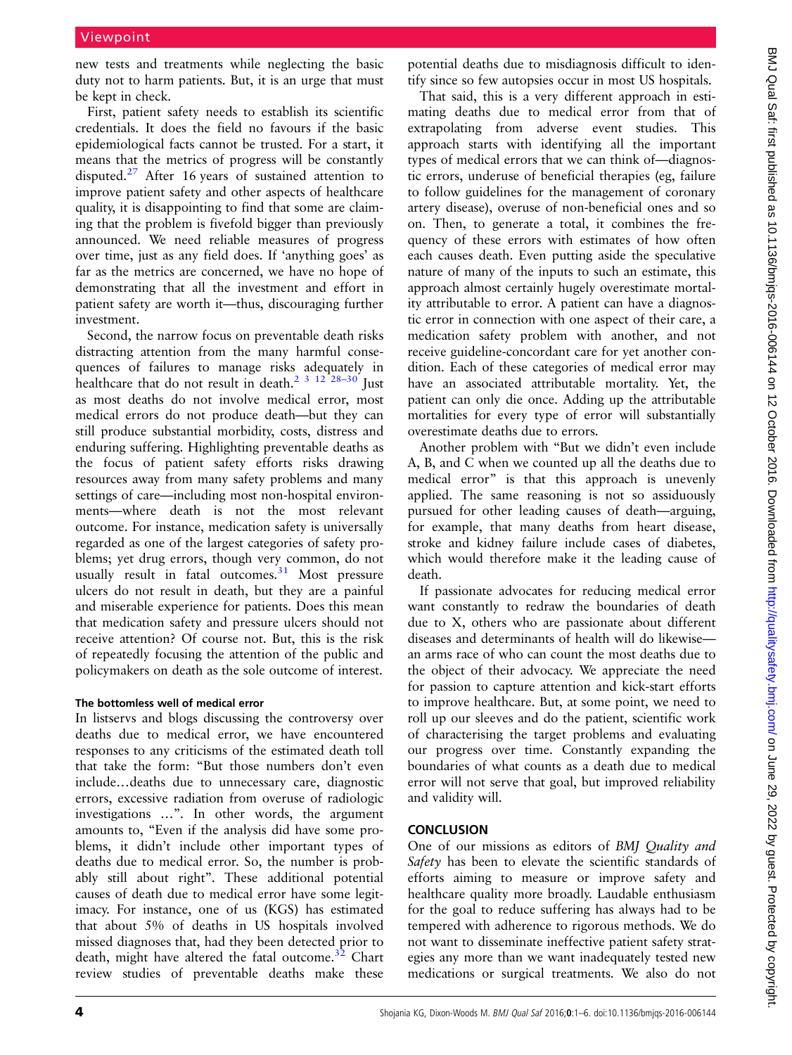new tests and treatments while neglecting the basic duty not to harm patients. But, it is an urge that must be kept in check.

First, patient safety needs to establish its scientific credentials. It does the field no favours if the basic epidemiological facts cannot be trusted. For a start, it means that the metrics of progress will be constantly disputed.<sup>[27](#page-4-0)</sup> After 16 years of sustained attention to improve patient safety and other aspects of healthcare quality, it is disappointing to find that some are claiming that the problem is fivefold bigger than previously announced. We need reliable measures of progress over time, just as any field does. If 'anything goes' as far as the metrics are concerned, we have no hope of demonstrating that all the investment and effort in patient safety are worth it—thus, discouraging further investment.

Second, the narrow focus on preventable death risks distracting attention from the many harmful consequences of failures to manage risks adequately in healthcare that do not result in death.<sup>[2 3 12](#page-4-0) 28–[30](#page-5-0)</sup> Just as most deaths do not involve medical error, most medical errors do not produce death—but they can still produce substantial morbidity, costs, distress and enduring suffering. Highlighting preventable deaths as the focus of patient safety efforts risks drawing resources away from many safety problems and many settings of care—including most non-hospital environments—where death is not the most relevant outcome. For instance, medication safety is universally regarded as one of the largest categories of safety problems; yet drug errors, though very common, do not usually result in fatal outcomes. $31$  Most pressure ulcers do not result in death, but they are a painful and miserable experience for patients. Does this mean that medication safety and pressure ulcers should not receive attention? Of course not. But, this is the risk of repeatedly focusing the attention of the public and policymakers on death as the sole outcome of interest.

#### The bottomless well of medical error

In listservs and blogs discussing the controversy over deaths due to medical error, we have encountered responses to any criticisms of the estimated death toll that take the form: "But those numbers don't even include…deaths due to unnecessary care, diagnostic errors, excessive radiation from overuse of radiologic investigations …". In other words, the argument amounts to, "Even if the analysis did have some problems, it didn't include other important types of deaths due to medical error. So, the number is probably still about right". These additional potential causes of death due to medical error have some legitimacy. For instance, one of us (KGS) has estimated that about 5% of deaths in US hospitals involved missed diagnoses that, had they been detected prior to death, might have altered the fatal outcome. $32$  Chart review studies of preventable deaths make these

potential deaths due to misdiagnosis difficult to identify since so few autopsies occur in most US hospitals.

That said, this is a very different approach in estimating deaths due to medical error from that of extrapolating from adverse event studies. This approach starts with identifying all the important types of medical errors that we can think of—diagnostic errors, underuse of beneficial therapies (eg, failure to follow guidelines for the management of coronary artery disease), overuse of non-beneficial ones and so on. Then, to generate a total, it combines the frequency of these errors with estimates of how often each causes death. Even putting aside the speculative nature of many of the inputs to such an estimate, this approach almost certainly hugely overestimate mortality attributable to error. A patient can have a diagnostic error in connection with one aspect of their care, a medication safety problem with another, and not receive guideline-concordant care for yet another condition. Each of these categories of medical error may have an associated attributable mortality. Yet, the patient can only die once. Adding up the attributable mortalities for every type of error will substantially overestimate deaths due to errors.

Another problem with "But we didn't even include A, B, and C when we counted up all the deaths due to medical error" is that this approach is unevenly applied. The same reasoning is not so assiduously pursued for other leading causes of death—arguing, for example, that many deaths from heart disease, stroke and kidney failure include cases of diabetes, which would therefore make it the leading cause of death.

If passionate advocates for reducing medical error want constantly to redraw the boundaries of death due to X, others who are passionate about different diseases and determinants of health will do likewise an arms race of who can count the most deaths due to the object of their advocacy. We appreciate the need for passion to capture attention and kick-start efforts to improve healthcare. But, at some point, we need to roll up our sleeves and do the patient, scientific work of characterising the target problems and evaluating our progress over time. Constantly expanding the boundaries of what counts as a death due to medical error will not serve that goal, but improved reliability and validity will.

## **CONCLUSION**

One of our missions as editors of BMJ Quality and Safety has been to elevate the scientific standards of efforts aiming to measure or improve safety and healthcare quality more broadly. Laudable enthusiasm for the goal to reduce suffering has always had to be tempered with adherence to rigorous methods. We do not want to disseminate ineffective patient safety strategies any more than we want inadequately tested new medications or surgical treatments. We also do not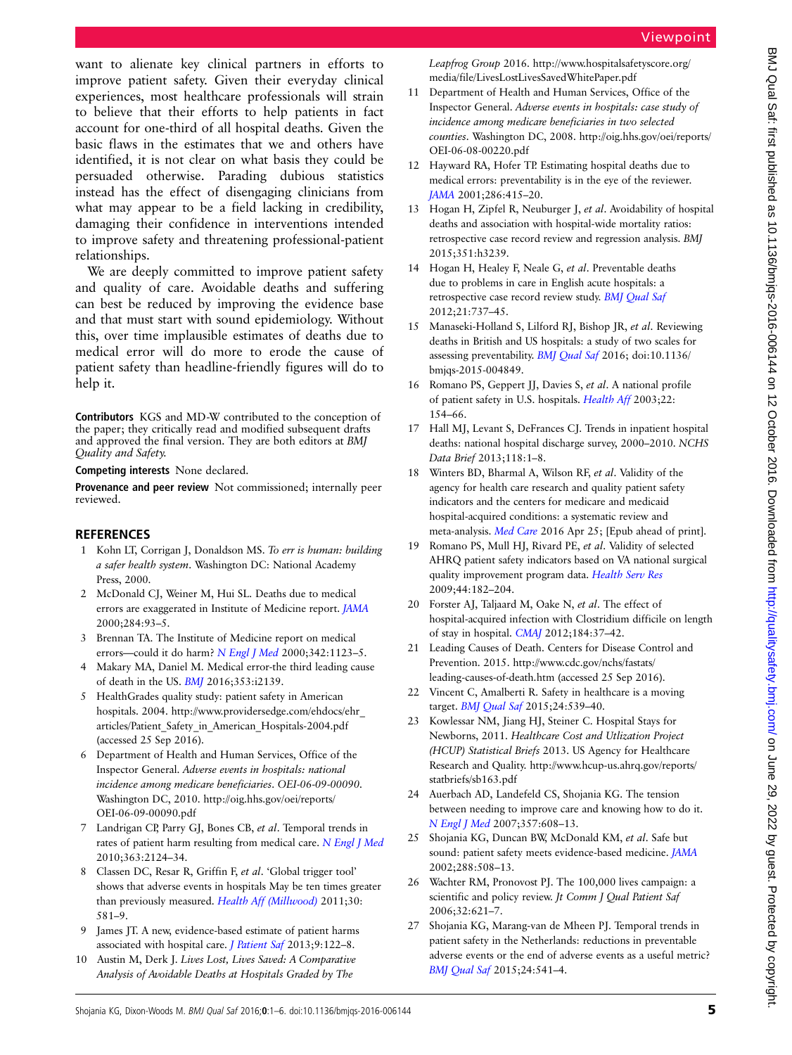<span id="page-4-0"></span>want to alienate key clinical partners in efforts to improve patient safety. Given their everyday clinical experiences, most healthcare professionals will strain to believe that their efforts to help patients in fact account for one-third of all hospital deaths. Given the basic flaws in the estimates that we and others have identified, it is not clear on what basis they could be persuaded otherwise. Parading dubious statistics instead has the effect of disengaging clinicians from what may appear to be a field lacking in credibility, damaging their confidence in interventions intended to improve safety and threatening professional-patient relationships.

We are deeply committed to improve patient safety and quality of care. Avoidable deaths and suffering can best be reduced by improving the evidence base and that must start with sound epidemiology. Without this, over time implausible estimates of deaths due to medical error will do more to erode the cause of patient safety than headline-friendly figures will do to help it.

Contributors KGS and MD-W contributed to the conception of the paper; they critically read and modified subsequent drafts and approved the final version. They are both editors at BMJ Quality and Safety.

Competing interests None declared.

Provenance and peer review Not commissioned; internally peer reviewed.

## **REFERENCES**

- 1 Kohn LT, Corrigan J, Donaldson MS. To err is human: building a safer health system. Washington DC: National Academy Press, 2000.
- 2 McDonald CJ, Weiner M, Hui SL. Deaths due to medical errors are exaggerated in Institute of Medicine report. [JAMA](http://dx.doi.org/10.1001/jama.284.1.93) 2000;284:93–5.
- 3 Brennan TA. The Institute of Medicine report on medical errors—could it do harm? [N Engl J Med](http://dx.doi.org/10.1056/NEJM200004133421510) 2000;342:1123-5.
- 4 Makary MA, Daniel M. Medical error-the third leading cause of death in the US. [BMJ](http://dx.doi.org/10.1136/bmj.i2139) 2016;353:i2139.
- 5 HealthGrades quality study: patient safety in American hospitals. 2004. [http://www.providersedge.com/ehdocs/ehr\\_](http://www.providersedge.com/ehdocs/ehr_articles/Patient_Safety_in_American_Hospitals-2004.pdf) [articles/Patient\\_Safety\\_in\\_American\\_Hospitals-2004.pdf](http://www.providersedge.com/ehdocs/ehr_articles/Patient_Safety_in_American_Hospitals-2004.pdf) (accessed 25 Sep 2016).
- 6 Department of Health and Human Services, Office of the Inspector General. Adverse events in hospitals: national incidence among medicare beneficiaries. OEI-06-09-00090. Washington DC, 2010. [http://oig.hhs.gov/oei/reports/](http://oig.hhs.gov/oei/reports/OEI-06-09-00090.pdf) [OEI-06-09-00090.pdf](http://oig.hhs.gov/oei/reports/OEI-06-09-00090.pdf)
- 7 Landrigan CP, Parry GJ, Bones CB, et al. Temporal trends in rates of patient harm resulting from medical care. [N Engl J Med](http://dx.doi.org/10.1056/NEJMsa1004404) 2010;363:2124–34.
- 8 Classen DC, Resar R, Griffin F, et al. 'Global trigger tool' shows that adverse events in hospitals May be ten times greater than previously measured. [Health Aff \(Millwood\)](http://dx.doi.org/10.1377/hlthaff.2011.0190) 2011;30: 581–9.
- 9 James JT. A new, evidence-based estimate of patient harms associated with hospital care. [J Patient Saf](http://dx.doi.org/10.1097/PTS.0b013e3182948a69) 2013;9:122–8.
- 10 Austin M, Derk J. Lives Lost, Lives Saved: A Comparative Analysis of Avoidable Deaths at Hospitals Graded by The

Leapfrog Group 2016. [http://www.hospitalsafetyscore.org/](http://www.hospitalsafetyscore.org/media/file/LivesLostLivesSavedWhitePaper.pdf) [media/file/LivesLostLivesSavedWhitePaper.pdf](http://www.hospitalsafetyscore.org/media/file/LivesLostLivesSavedWhitePaper.pdf)

- 11 Department of Health and Human Services, Office of the Inspector General. Adverse events in hospitals: case study of incidence among medicare beneficiaries in two selected counties. Washington DC, 2008. [http://oig.hhs.gov/oei/reports/](http://oig.hhs.gov/oei/reports/OEI-06-08-00220.pdf) [OEI-06-08-00220.pdf](http://oig.hhs.gov/oei/reports/OEI-06-08-00220.pdf)
- 12 Hayward RA, Hofer TP. Estimating hospital deaths due to medical errors: preventability is in the eye of the reviewer. [JAMA](http://dx.doi.org/10.1001/jama.286.4.415) 2001;286:415–20.
- 13 Hogan H, Zipfel R, Neuburger J, et al. Avoidability of hospital deaths and association with hospital-wide mortality ratios: retrospective case record review and regression analysis. BMJ 2015;351:h3239.
- 14 Hogan H, Healey F, Neale G, et al. Preventable deaths due to problems in care in English acute hospitals: a retrospective case record review study. [BMJ Qual Saf](http://dx.doi.org/10.1136/bmjqs-2011-001159) 2012;21:737–45.
- 15 Manaseki-Holland S, Lilford RJ, Bishop JR, et al. Reviewing deaths in British and US hospitals: a study of two scales for assessing preventability. [BMJ Qual Saf](http://dx.doi.org/10.1136/bmjqs-2015-004849) 2016; [doi:10.1136/](http://dx.doi.org/10.1136/bmjqs-2015-004849) [bmjqs-2015-004849](http://dx.doi.org/10.1136/bmjqs-2015-004849).
- 16 Romano PS, Geppert JJ, Davies S, et al. A national profile of patient safety in U.S. hospitals. [Health Aff](http://dx.doi.org/10.1377/hlthaff.22.2.154) 2003;22: 154–66.
- 17 Hall MJ, Levant S, DeFrances CJ. Trends in inpatient hospital deaths: national hospital discharge survey, 2000–2010. NCHS Data Brief 2013;118:1–8.
- 18 Winters BD, Bharmal A, Wilson RF, et al. Validity of the agency for health care research and quality patient safety indicators and the centers for medicare and medicaid hospital-acquired conditions: a systematic review and meta-analysis. [Med Care](http://dx.doi.org/10.1097/MLR.0000000000000550) 2016 Apr 25; [Epub ahead of print].
- 19 Romano PS, Mull HJ, Rivard PE, et al. Validity of selected AHRQ patient safety indicators based on VA national surgical quality improvement program data. [Health Serv Res](http://dx.doi.org/10.1111/j.1475-6773.2008.00905.x) 2009;44:182–204.
- 20 Forster AJ, Taljaard M, Oake N, et al. The effect of hospital-acquired infection with Clostridium difficile on length of stay in hospital. [CMAJ](http://dx.doi.org/10.1503/cmaj.110543) 2012;184:37–42.
- 21 Leading Causes of Death. Centers for Disease Control and Prevention. 2015. [http://www.cdc.gov/nchs/fastats/](http://www.cdc.gov/nchs/fastats/leading-causes-of-death.htm) [leading-causes-of-death.htm](http://www.cdc.gov/nchs/fastats/leading-causes-of-death.htm) (accessed 25 Sep 2016).
- 22 Vincent C, Amalberti R. Safety in healthcare is a moving target. [BMJ Qual Saf](http://dx.doi.org/10.1136/bmjqs-2015-004403) 2015;24:539-40.
- 23 Kowlessar NM, Jiang HJ, Steiner C. Hospital Stays for Newborns, 2011. Healthcare Cost and Utlization Project (HCUP) Statistical Briefs 2013. US Agency for Healthcare Research and Quality. [http://www.hcup-us.ahrq.gov/reports/](http://www.hcup-us.ahrq.gov/reports/statbriefs/sb163.pdf) [statbriefs/sb163.pdf](http://www.hcup-us.ahrq.gov/reports/statbriefs/sb163.pdf)
- 24 Auerbach AD, Landefeld CS, Shojania KG. The tension between needing to improve care and knowing how to do it. [N Engl J Med](http://dx.doi.org/10.1056/NEJMsb070738) 2007;357:608–13.
- 25 Shojania KG, Duncan BW, McDonald KM, et al. Safe but sound: patient safety meets evidence-based medicine. [JAMA](http://dx.doi.org/10.1001/jama.288.4.508) 2002;288:508–13.
- 26 Wachter RM, Pronovost PJ. The 100,000 lives campaign: a scientific and policy review. Jt Comm J Qual Patient Saf 2006;32:621–7.
- 27 Shojania KG, Marang-van de Mheen PJ. Temporal trends in patient safety in the Netherlands: reductions in preventable adverse events or the end of adverse events as a useful metric? [BMJ Qual Saf](http://dx.doi.org/10.1136/bmjqs-2015-004461) 2015;24:541–4.